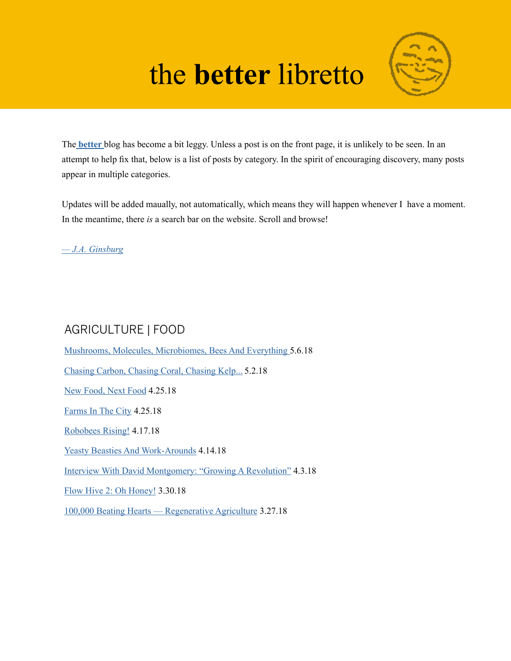# the **better** libretto



The **[better](https://jaginsburg.com/better)** blog has become a bit leggy. Unless a post is on the front page, it is unlikely to be seen. In an attempt to help fix that, below is a list of posts by category. In the spirit of encouraging discovery, many posts appear in multiple categories.

Updates will be added maually, not automatically, which means they will happen whenever I have a moment. In the meantime, there *is* a search bar on the website. Scroll and browse!

*[— J.A. Ginsburg](https://jaginsburg.com)*

# AGRICULTURE | FOOD

[Mushrooms, Molecules, Microbiomes, Bees And Everything](https://www.jaginsburg.com/better/mushrooms-molecules-microbiomes-bees-and-everything) 5.6.18 [Chasing Carbon, Chasing Coral, Chasing Kelp...](https://www.jaginsburg.com/better/chasing-carbon-chasing-coral-chasing-kelp) 5.2.18 [New Food, Next Food](https://www.jaginsburg.com/better/new-food-next-food) 4.25.18 [Farms In The City](https://www.jaginsburg.com/better/farms-in-the-city) 4.25.18 [Robobees Rising!](https://www.jaginsburg.com/better/robobees-rising) 4.17.18 [Yeasty Beasties And Work-Arounds](https://www.jaginsburg.com/better/yeasty-beasties-and-work-arounds) 4.14.18 [Interview With David Montgomery: "Growing A Revolution"](https://www.jaginsburg.com/better/interview-with-david-montgomery-growing-a-revolution) 4.3.18 [Flow Hive 2: Oh Honey!](https://www.jaginsburg.com/better/flow-hive-2-oh-honey) 3.30.18 [100,000 Beating Hearts — Regenerative Agriculture](https://www.jaginsburg.com/better/100000-beating-hearts) 3.27.18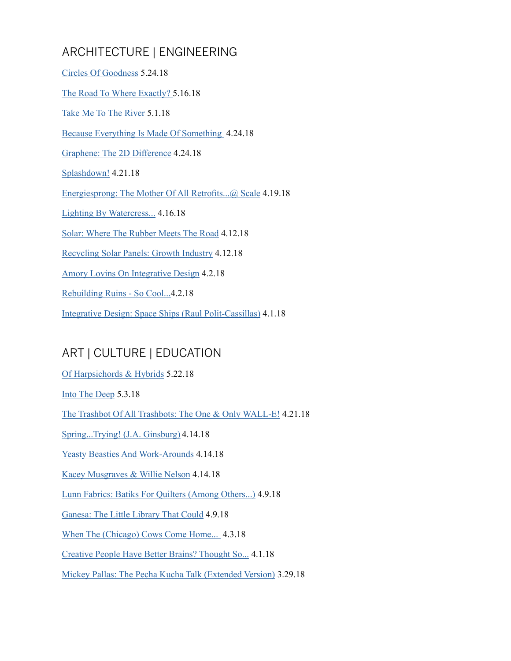# ARCHITECTURE | ENGINEERING

| Circles Of Goodness 5.24.18                                   |
|---------------------------------------------------------------|
| The Road To Where Exactly? 5.16.18                            |
| Take Me To The River 5.1.18                                   |
| Because Everything Is Made Of Something 4.24.18               |
| Graphene: The 2D Difference 4.24.18                           |
| <u>Splashdown!</u> 4.21.18                                    |
| Energiesprong: The Mother Of All Retrofits@ Scale 4.19.18     |
| <b>Lighting By Watercress 4.16.18</b>                         |
| Solar: Where The Rubber Meets The Road 4.12.18                |
| <b>Recycling Solar Panels: Growth Industry 4.12.18</b>        |
| <b>Amory Lovins On Integrative Design 4.2.18</b>              |
| Rebuilding Ruins - So Cool4.2.18                              |
| Integrative Design: Space Ships (Raul Polit-Cassillas) 4.1.18 |

## ART | CULTURE | EDUCATION

[Of Harpsichords & Hybrids](https://www.jaginsburg.com/better/of-harpsichords-hybrids) 5.22.18 [Into The Deep](https://www.jaginsburg.com/better/into-the-deep) 5.3.18 [The Trashbot Of All Trashbots: The One & Only WALL-E!](https://www.jaginsburg.com/better/the-trashbot-of-all-trashbots-the-one-only-wall-e) 4.21.18 [Spring...Trying! \(J.A. Ginsburg\)](https://www.jaginsburg.com/better/springtrying) 4.14.18 [Yeasty Beasties And Work-Arounds](https://www.jaginsburg.com/better/yeasty-beasties-and-work-arounds) 4.14.18 [Kacey Musgraves & Willie Nelson](https://www.jaginsburg.com/better/kacey-musgraves-willie-nelson) 4.14.18 [Lunn Fabrics: Batiks For Quilters \(Among Others...\)](https://www.jaginsburg.com/better/lunn-fabrics-batiks-for-quilters-among-others) 4.9.18 [Ganesa: The Little Library That Could](https://www.jaginsburg.com/better/ganesa-the-little-library-that-could) 4.9.18 [When The \(Chicago\) Cows Come Home...](https://www.jaginsburg.com/better/when-the-chicago-cows-come-home) 4.3.18 [Creative People Have Better Brains? Thought So...](https://www.jaginsburg.com/better/creative-people-have-better-brains-thought-so) 4.1.18 [Mickey Pallas: The Pecha Kucha Talk \(Extended Version\)](https://www.jaginsburg.com/better/mickey-pallas-the-pecha-kucha-talk-extended-version) 3.29.18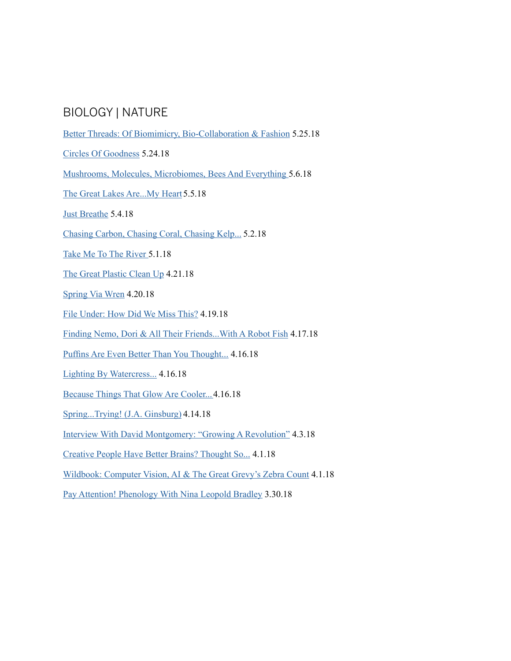#### BIOLOGY | NATURE

- [Better Threads: Of Biomimicry, Bio-Collaboration & Fashion](Better Threads: Of Biomimicry, Bio-Collaboration & Fashion
) 5.25.18
- [Circles Of Goodness](https://www.jaginsburg.com/better/circles-of-goodness) 5.24.18
- [Mushrooms, Molecules, Microbiomes, Bees And Everything](https://www.jaginsburg.com/better/mushrooms-molecules-microbiomes-bees-and-everything) 5.6.18
- [The Great Lakes Are...My Heart](https://www.jaginsburg.com/better/the-great-lakes-aremy-heart) 5.5.18
- [Just Breathe](https://www.jaginsburg.com/better/just-breathe) 5.4.18
- [Chasing Carbon, Chasing Coral, Chasing Kelp...](https://www.jaginsburg.com/better/chasing-carbon-chasing-coral-chasing-kelp) 5.2.18
- [Take Me To The River](https://www.jaginsburg.com/better/take-me-to-the-river) 5.1.18
- [The Great Plastic Clean Up](https://www.jaginsburg.com/better/the-great-plastic-clean-up) 4.21.18
- [Spring Via Wren](https://www.jaginsburg.com/better/spring-via-wren) 4.20.18
- [File Under: How Did We Miss This?](https://www.jaginsburg.com/better/file-under-how-did-we-miss-this) 4.19.18
- [Finding Nemo, Dori & All Their Friends...With A Robot Fish](https://www.jaginsburg.com/better/finding-doriwith-a-robot-fish) 4.17.18
- [Puffins Are Even Better Than You Thought...](https://www.jaginsburg.com/better/puffins-are-even-better-than-you-thought) 4.16.18
- [Lighting By Watercress...](https://www.jaginsburg.com/better/lighting-by-watercress) 4.16.18
- [Because Things That Glow Are Cooler...](https://www.jaginsburg.com/better/because-things-that-glow-are-cooler) 4.16.18
- [Spring...Trying! \(J.A. Ginsburg\)](https://www.jaginsburg.com/better/springtrying) 4.14.18
- [Interview With David Montgomery: "Growing A Revolution"](https://www.jaginsburg.com/better/interview-with-david-montgomery-growing-a-revolution) 4.3.18
- [Creative People Have Better Brains? Thought So...](https://www.jaginsburg.com/better/creative-people-have-better-brains-thought-so) 4.1.18
- [Wildbook: Computer Vision, AI & The Great Grevy's Zebra Count](https://www.jaginsburg.com/better/wildbook-computer-vision-ai-the-the-great-grevys-zebra-count) 4.1.18
- [Pay Attention! Phenology With Nina Leopold Bradley](https://www.jaginsburg.com/better/pay-attention-phenology-with-nina-leopold-bradley) 3.30.18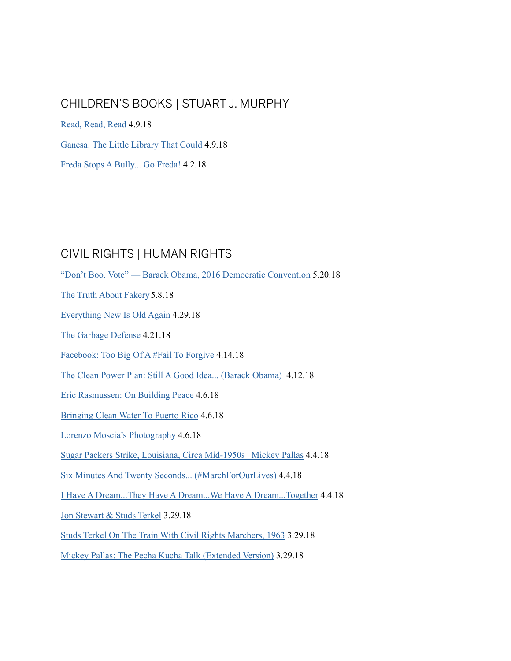#### CHILDREN'S BOOKS | STUART J. MURPHY

[Read, Read, Read](https://www.jaginsburg.com/better/read-read-read) 4.9.18

[Ganesa: The Little Library That Could](https://www.jaginsburg.com/better/ganesa-the-little-library-that-could) 4.9.18

[Freda Stops A Bully... Go Freda!](https://www.jaginsburg.com/better/freda-stops-a-bully-go-freda) 4.2.18

# CIVIL RIGHTS | HUMAN RIGHTS

["Don't Boo. Vote" — Barack Obama, 2016 Democratic Convention](https://www.jaginsburg.com/better/dont-boo-vote-barack-obama-2016-democratic-convention) 5.20.18

[The Truth About Fakery](https://www.jaginsburg.com/better/the-truth-about-fakery) 5.8.18

[Everything New Is Old Again](https://www.jaginsburg.com/better/everything-new-is-old-again) 4.29.18

[The Garbage Defense](https://www.jaginsburg.com/better/the-garbage-defense) 4.21.18

[Facebook: Too Big Of A #Fail To Forgive](https://www.jaginsburg.com/better/facebook-too-big-a-fail-to-forgive) 4.14.18

[The Clean Power Plan: Still A Good Idea... \(Barack Obama\)](https://www.jaginsburg.com/better/the-clean-power-plan-still-a-good-idea) 4.12.18

[Eric Rasmussen: On Building Peace](https://www.jaginsburg.com/better/eric-rasmussen-on-building-peace) 4.6.18

[Bringing Clean Water To Puerto Rico](https://www.jaginsburg.com/better/bringing-clean-water-to-puerto-rico) 4.6.18

[Lorenzo Moscia's Photography](https://www.jaginsburg.com/better/april-06th-2018) 4.6.18

[Sugar Packers Strike, Louisiana, Circa Mid-1950s | Mickey Pallas](https://www.jaginsburg.com/better/sugar-packers-strike-louisiana-circa-mid-1950s-mickey-pallas) 4.4.18

[Six Minutes And Twenty Seconds... \(#MarchForOurLives\)](https://www.jaginsburg.com/better/six-minutes-and-twenty-seconds) 4.4.18

[I Have A Dream...They Have A Dream...We Have A Dream...Together](https://www.jaginsburg.com/better/i-have-a-dreamthey-have-a-dreamwe-have-a-dreamtogether) 4.4.18

[Jon Stewart & Studs Terkel](https://www.jaginsburg.com/better/studs-terkel-jon-stewart) 3.29.18

S[tuds Terkel On The Train With Civil Rights Marchers, 1963](https://www.jaginsburg.com/better/studs-terkel-on-the-train-with-civil-rights-marchers-1963) 3.29.18

[Mickey Pallas: The Pecha Kucha Talk \(Extended Version\)](https://www.jaginsburg.com/better/mickey-pallas-the-pecha-kucha-talk-extended-version) 3.29.18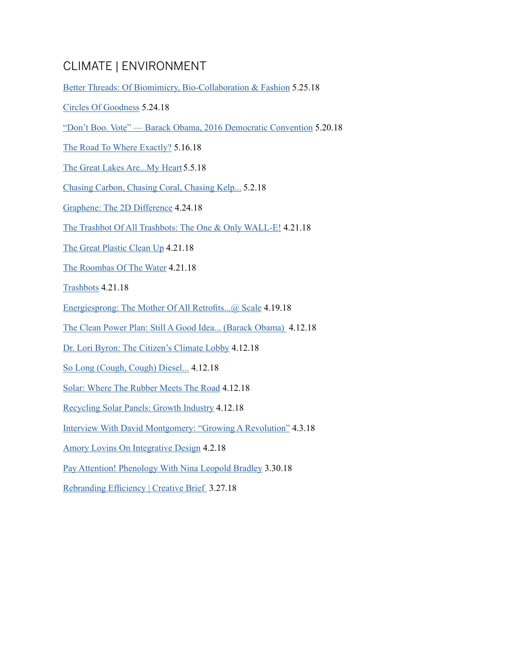## CLIMATE | ENVIRONMENT

[Better Threads: Of Biomimicry, Bio-Collaboration & Fashion](Better Threads: Of Biomimicry, Bio-Collaboration & Fashion
) 5.25.18

- [Circles Of Goodness](https://www.jaginsburg.com/better/circles-of-goodness) 5.24.18
- ["Don't Boo. Vote" Barack Obama, 2016 Democratic Convention](https://www.jaginsburg.com/better/dont-boo-vote-barack-obama-2016-democratic-convention) 5.20.18
- [The Road To Where Exactly?](https://www.jaginsburg.com/better/the-road-to-where-exactly) 5.16.18
- [The Great Lakes Are...My Heart](https://www.jaginsburg.com/better/the-great-lakes-aremy-heart) 5.5.18
- [Chasing Carbon, Chasing Coral, Chasing Kelp...](https://www.jaginsburg.com/better/chasing-carbon-chasing-coral-chasing-kelp) 5.2.18
- [Graphene: The 2D Difference](https://www.jaginsburg.com/better/april-24th-2018) 4.24.18
- [The Trashbot Of All Trashbots: The One & Only WALL-E!](https://www.jaginsburg.com/better/the-trashbot-of-all-trashbots-the-one-only-wall-e) 4.21.18
- [The Great Plastic Clean Up](https://www.jaginsburg.com/better/the-great-plastic-clean-up) 4.21.18
- [The Roombas Of The Water](https://www.jaginsburg.com/better/the-roombas-of-the-water) 4.21.18
- [Trashbots](https://www.jaginsburg.com/better/trashbots) 4.21.18
- [Energiesprong: The Mother Of All Retrofits...@ Scale](https://www.jaginsburg.com/better/energiesprong-the-mother-of-all-retrofits-scale) 4.19.18
- [The Clean Power Plan: Still A Good Idea... \(Barack Obama\)](https://www.jaginsburg.com/better/the-clean-power-plan-still-a-good-idea) 4.12.18
- [Dr. Lori Byron: The Citizen's Climate Lobby](https://www.jaginsburg.com/better/dr-lori-byron-the-citizens-climate-lobby) 4.12.18
- [So Long \(Cough, Cough\) Diesel...](https://www.jaginsburg.com/better/so-long-cough-cough-diesel) 4.12.18
- [Solar: Where The Rubber Meets The Road](https://www.jaginsburg.com/better/solar-where-the-rubber-meets-the-road) 4.12.18
- [Recycling Solar Panels: Growth Industry](https://www.jaginsburg.com/better/recycling-solar-panels-growth-industry) 4.12.18
- [Interview With David Montgomery: "Growing A Revolution"](https://www.jaginsburg.com/better/interview-with-david-montgomery-growing-a-revolution) 4.3.18
- [Amory Lovins On Integrative Design](https://www.jaginsburg.com/better/amory-lovins-on-integrative-design) 4.2.18
- [Pay Attention! Phenology With Nina Leopold Bradley](https://www.jaginsburg.com/better/pay-attention-phenology-with-nina-leopold-bradley) 3.30.18
- [Rebranding Efficiency | Creative Brief](https://www.jaginsburg.com/better/march-27th-2018) 3.27.18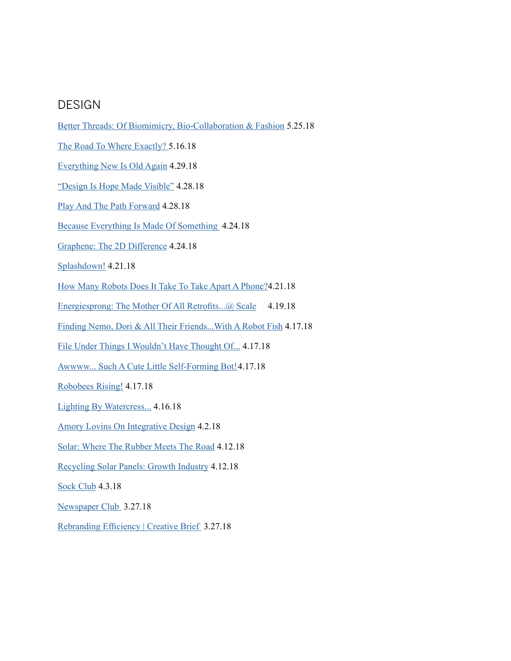#### DESIGN

[Better Threads: Of Biomimicry, Bio-Collaboration & Fashion](Better Threads: Of Biomimicry, Bio-Collaboration & Fashion
) 5.25.18 [The Road To Where Exactly](https://www.jaginsburg.com/better/the-road-to-where-exactly)? 5.16.18 [Everything New Is Old Again](https://www.jaginsburg.com/better/everything-new-is-old-again) 4.29.18 ["Design Is Hope Made Visible"](https://www.jaginsburg.com/better/design-is-hope-made-visible) 4.28.18 [Play And The Path Forward](https://www.jaginsburg.com/better/play-and-the-path-forward) 4.28.18 [Because Everything Is Made Of Something](https://www.jaginsburg.com/better) 4.24.18 [Graphene: The 2D Difference](https://www.jaginsburg.com/better/april-24th-2018) 4.24.18 [Splashdown!](https://www.jaginsburg.com/better/splashdown) 4.21.18 [How Many Robots Does It Take To Take Apart A Phone?](https://www.jaginsburg.com/better/how-many-robots-does-it-take-to-take-apart-a-phone)4.21.18 [Energiesprong: The Mother Of All Retrofits...@ Scale](https://www.jaginsburg.com/better/energiesprong-the-mother-of-all-retrofits-scale) 4.19.18 [Finding Nemo, Dori & All Their Friends...With A Robot Fish](https://www.jaginsburg.com/better/finding-doriwith-a-robot-fish) 4.17.18 [File Under Things I Wouldn't Have Thought Of...](https://www.jaginsburg.com/better/file-under-things-i-wouldnt-have-thought-of) 4.17.18 [Awwww... Such A Cute Little Self-Forming Bot!](https://www.jaginsburg.com/better/awwww-such-a-cute-little-self-forming-bot)4.17.18 [Robobees Rising!](https://www.jaginsburg.com/better/robobees-rising) 4.17.18 [Lighting By Watercress...](https://www.jaginsburg.com/better/lighting-by-watercress) 4.16.18 [Amory Lovins On Integrative Design](https://www.jaginsburg.com/better/amory-lovins-on-integrative-design) 4.2.18 [Solar: Where The Rubber Meets The Road](https://www.jaginsburg.com/better/solar-where-the-rubber-meets-the-road) 4.12.18 [Recycling Solar Panels: Growth Industry](https://www.jaginsburg.com/better/recycling-solar-panels-growth-industry) 4.12.18 [Sock Club](https://www.jaginsburg.com/better/sock-club) 4.3.18 [Newspaper Club](https://www.jaginsburg.com/better/newspaper-club) 3.27.18 [Rebranding Efficiency | Creative Brief](https://www.jaginsburg.com/better/march-27th-2018) 3.27.18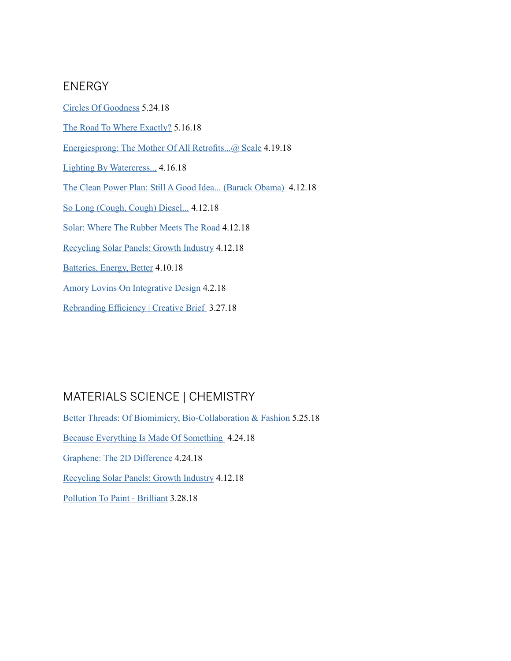#### ENERGY

[Circles Of Goodness](https://www.jaginsburg.com/better/circles-of-goodness) 5.24.18 [The Road To Where Exactly?](https://www.jaginsburg.com/better/the-road-to-where-exactly) 5.16.18 [Energiesprong: The Mother Of All Retrofits...@ Scale](https://www.jaginsburg.com/better/energiesprong-the-mother-of-all-retrofits-scale) 4.19.18 [Lighting By Watercress...](https://www.jaginsburg.com/better/lighting-by-watercress) 4.16.18 [The Clean Power Plan: Still A Good Idea... \(Barack Obama\)](https://www.jaginsburg.com/better/the-clean-power-plan-still-a-good-idea) 4.12.18 [So Long \(Cough, Cough\) Diesel...](https://www.jaginsburg.com/better/so-long-cough-cough-diesel) 4.12.18 [Solar: Where The Rubber Meets The Road](https://www.jaginsburg.com/better/solar-where-the-rubber-meets-the-road) 4.12.18 [Recycling Solar Panels: Growth Industry](https://www.jaginsburg.com/better/recycling-solar-panels-growth-industry) 4.12.18 [Batteries, Energy, Better](https://www.jaginsburg.com/better/batteries-energy-better) 4.10.18 [Amory Lovins On Integrative Design](https://www.jaginsburg.com/better/amory-lovins-on-integrative-design) 4.2.18 [Rebranding Efficiency | Creative Brief](https://www.jaginsburg.com/better/march-27th-2018) 3.27.18

# MATERIALS SCIENCE | CHEMISTRY

[Better Threads: Of Biomimicry, Bio-Collaboration & Fashion](Better Threads: Of Biomimicry, Bio-Collaboration & Fashion
) 5.25.18 [Because Everything Is Made Of Something](https://www.jaginsburg.com/better) 4.24.18 [Graphene: The 2D Difference](https://www.jaginsburg.com/better/april-24th-2018) 4.24.18 [Recycling Solar Panels: Growth Industry](https://www.jaginsburg.com/better/recycling-solar-panels-growth-industry) 4.12.18 [Pollution To Paint - Brilliant](https://www.jaginsburg.com/better/pollution-to-paint-brilliant) 3.28.18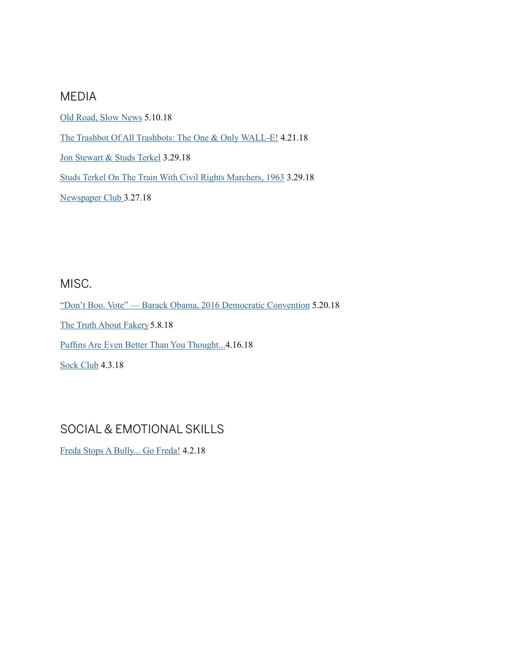#### MEDIA

[Old Road, Slow News](https://www.jaginsburg.com/better/old-road-slow-news) 5.10.18

[The Trashbot Of All Trashbots: The One & Only WALL-E!](https://www.jaginsburg.com/better/the-trashbot-of-all-trashbots-the-one-only-wall-e) 4.21.18

[Jon Stewart & Studs Terkel](https://www.jaginsburg.com/better/studs-terkel-jon-stewart) 3.29.18

[Studs Terkel On The Train With Civil Rights Marchers, 1963](https://www.jaginsburg.com/better/studs-terkel-on-the-train-with-civil-rights-marchers-1963) 3.29.18

[Newspaper Club](https://www.jaginsburg.com/better/newspaper-club) 3.27.18

#### MISC.

["Don't Boo. Vote" — Barack Obama, 2016 Democratic Convention](https://www.jaginsburg.com/better/dont-boo-vote-barack-obama-2016-democratic-convention) 5.20.18 [The Truth About Fakery](https://www.jaginsburg.com/better/the-truth-about-fakery) 5.8.18 [Puffins Are Even Better Than You Thought...](https://www.jaginsburg.com/better/puffins-are-even-better-than-you-thought)4.16.18 [Sock Club](https://www.jaginsburg.com/better/sock-club) 4.3.18

## SOCIAL & EMOTIONAL SKILLS

[Freda Stops A Bully... Go Freda!](https://www.jaginsburg.com/better/freda-stops-a-bully-go-freda) 4.2.18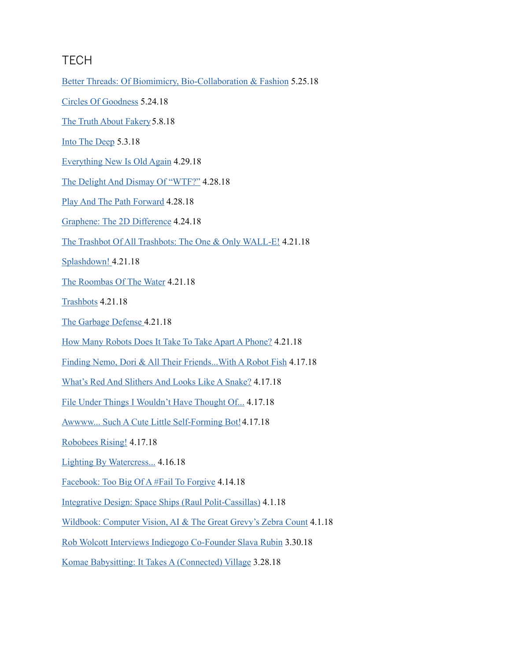#### **TECH**

[Better Threads: Of Biomimicry, Bio-Collaboration & Fashion](Better Threads: Of Biomimicry, Bio-Collaboration & Fashion
) 5.25.18

[Circles Of Goodness](https://www.jaginsburg.com/better/circles-of-goodness) 5.24.18

[The Truth About Fakery](https://www.jaginsburg.com/better/the-truth-about-fakery) 5.8.18

[Into The Deep](https://www.jaginsburg.com/better/into-the-deep) 5.3.18

[Everything New Is Old Again](https://www.jaginsburg.com/better/everything-new-is-old-again) 4.29.18

[The Delight And Dismay Of "WTF?"](https://www.jaginsburg.com/better/the-delight-and-dismay-of-wtf) 4.28.18

[Play And The Path Forward](https://www.jaginsburg.com/better/play-and-the-path-forward) 4.28.18

[Graphene: The 2D Difference](https://www.jaginsburg.com/better/april-24th-2018) 4.24.18

[The Trashbot Of All Trashbots: The One & Only WALL-E!](https://www.jaginsburg.com/better/the-trashbot-of-all-trashbots-the-one-only-wall-e) 4.21.18

[Splashdown!](https://www.jaginsburg.com/better/splashdown) 4.21.18

[The Roombas Of The Water](https://www.jaginsburg.com/better/the-roombas-of-the-water) 4.21.18

[Trashbots](https://www.jaginsburg.com/better/trashbots) 4.21.18

[The Garbage Defense](https://www.jaginsburg.com/better/the-garbage-defense) 4.21.18

[How Many Robots Does It Take To Take Apart A Phone?](https://www.jaginsburg.com/better/how-many-robots-does-it-take-to-take-apart-a-phone) 4.21.18

[Finding Nemo, Dori & All Their Friends...With A Robot Fish](https://www.jaginsburg.com/better/finding-doriwith-a-robot-fish) 4.17.18

[What's Red And Slithers And Looks Like A Snake?](https://www.jaginsburg.com/better/whats-red-and-slithers-and-looks-like-a-snake) 4.17.18

[File Under Things I Wouldn't Have Thought Of...](https://www.jaginsburg.com/better/file-under-things-i-wouldnt-have-thought-of) 4.17.18

[Awwww... Such A Cute Little Self-Forming Bot!](https://www.jaginsburg.com/better/awwww-such-a-cute-little-self-forming-bot) 4.17.18

[Robobees Rising!](https://www.jaginsburg.com/better/robobees-rising) 4.17.18

[Lighting By Watercress...](https://www.jaginsburg.com/better/lighting-by-watercress) 4.16.18

[Facebook: Too Big Of A #Fail To Forgive](https://www.jaginsburg.com/better/facebook-too-big-a-fail-to-forgive) 4.14.18

[Integrative Design: Space Ships \(Raul Polit-Cassillas\)](https://www.jaginsburg.com/better/integrative-design-space-ships) 4.1.18

[Wildbook: Computer Vision, AI & The Great Grevy's Zebra Count](https://www.jaginsburg.com/better/wildbook-computer-vision-ai-the-the-great-grevys-zebra-count) 4.1.18

[Rob Wolcott Interviews Indiegogo Co-Founder Slava Rubin](https://www.jaginsburg.com/better/in-conversation-rob-wolcott-interviews-indiegogo-co-founder-slava-rubin) 3.30.18

[Komae Babysitting: It Takes A \(Connected\) Village](https://www.jaginsburg.com/better/komae-babysitting-it-takes-a-connected-village) 3.28.18